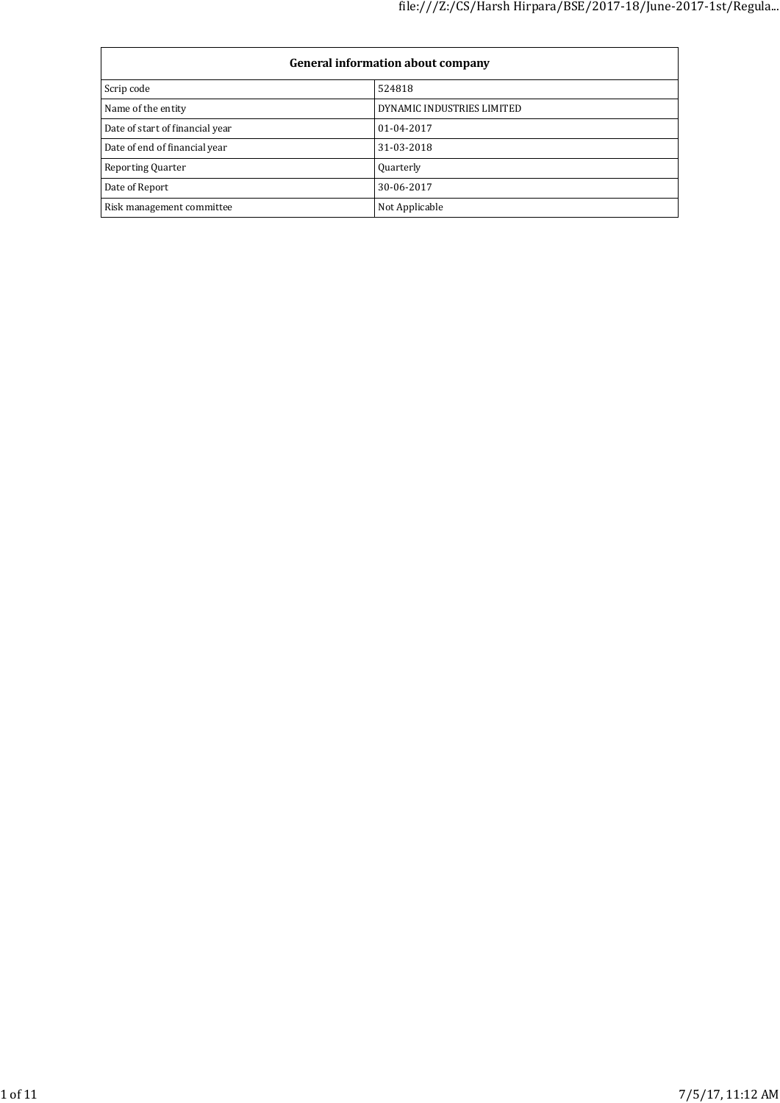| <b>General information about company</b> |                            |  |  |
|------------------------------------------|----------------------------|--|--|
| Scrip code                               | 524818                     |  |  |
| Name of the entity                       | DYNAMIC INDUSTRIES LIMITED |  |  |
| Date of start of financial year          | 01-04-2017                 |  |  |
| Date of end of financial year            | 31-03-2018                 |  |  |
| <b>Reporting Quarter</b>                 | Quarterly                  |  |  |
| Date of Report                           | 30-06-2017                 |  |  |
| Risk management committee                | Not Applicable             |  |  |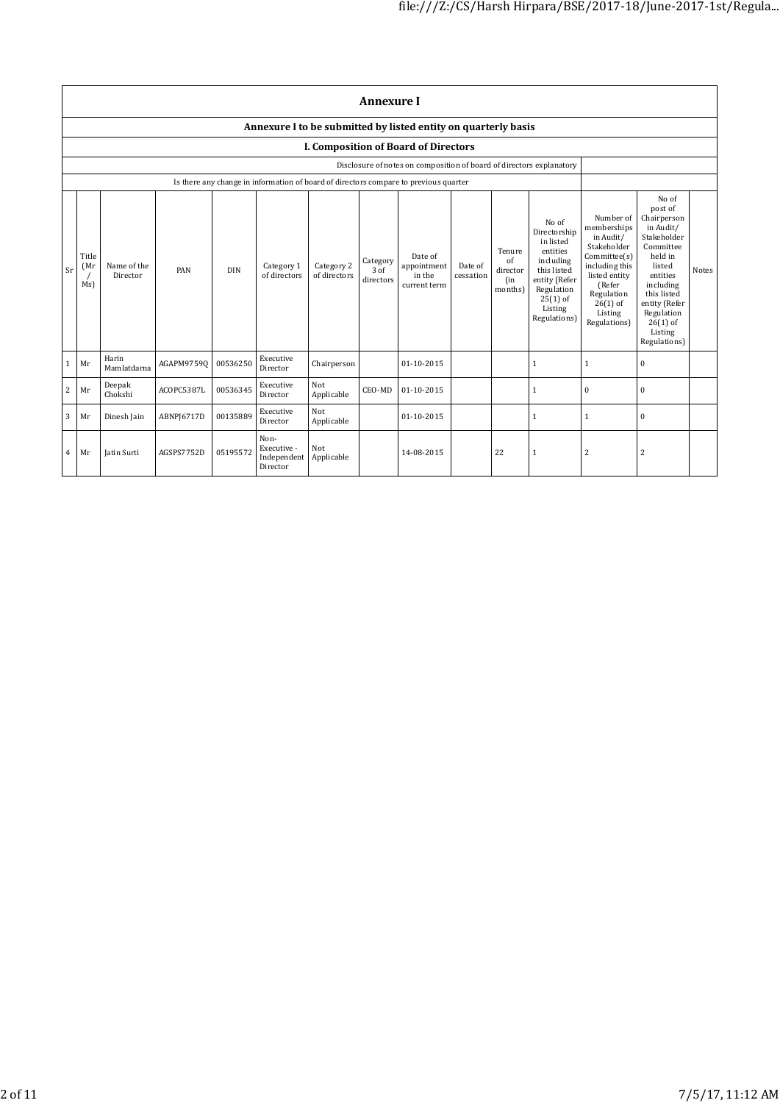|    | <b>Annexure I</b>                                              |                         |            |          |                                                |                            |                               |                                                                                      |                      |                                            |                                                                                                                                                    |                                                                                                                                                                          |                                                                                                                                                                                                               |       |
|----|----------------------------------------------------------------|-------------------------|------------|----------|------------------------------------------------|----------------------------|-------------------------------|--------------------------------------------------------------------------------------|----------------------|--------------------------------------------|----------------------------------------------------------------------------------------------------------------------------------------------------|--------------------------------------------------------------------------------------------------------------------------------------------------------------------------|---------------------------------------------------------------------------------------------------------------------------------------------------------------------------------------------------------------|-------|
|    | Annexure I to be submitted by listed entity on quarterly basis |                         |            |          |                                                |                            |                               |                                                                                      |                      |                                            |                                                                                                                                                    |                                                                                                                                                                          |                                                                                                                                                                                                               |       |
|    |                                                                |                         |            |          |                                                |                            |                               | <b>I. Composition of Board of Directors</b>                                          |                      |                                            |                                                                                                                                                    |                                                                                                                                                                          |                                                                                                                                                                                                               |       |
|    |                                                                |                         |            |          |                                                |                            |                               | Disclosure of notes on composition of board of directors explanatory                 |                      |                                            |                                                                                                                                                    |                                                                                                                                                                          |                                                                                                                                                                                                               |       |
|    |                                                                |                         |            |          |                                                |                            |                               | Is there any change in information of board of directors compare to previous quarter |                      |                                            |                                                                                                                                                    |                                                                                                                                                                          |                                                                                                                                                                                                               |       |
| Sr | Title<br>(Mr<br>Ms)                                            | Name of the<br>Director | PAN        | DIN      | Category 1<br>of directors                     | Category 2<br>of directors | Category<br>3 of<br>directors | Date of<br>appointment<br>in the<br>current term                                     | Date of<br>cessation | Tenure<br>of<br>director<br>(in<br>months) | No of<br>Directorship<br>in listed<br>entities<br>including<br>this listed<br>entity (Refer<br>Regulation<br>$25(1)$ of<br>Listing<br>Regulations) | Number of<br>memberships<br>in Audit/<br>Stakeholder<br>Committee(s)<br>including this<br>listed entity<br>(Refer<br>Regulation<br>$26(1)$ of<br>Listing<br>Regulations) | No of<br>post of<br>Chairperson<br>in Audit/<br>Stakeholder<br>Committee<br>held in<br>listed<br>entities<br>including<br>this listed<br>entity (Refer<br>Regulation<br>$26(1)$ of<br>Listing<br>Regulations) | Notes |
|    | Mr                                                             | Harin<br>Mamlatdarna    | AGAPM97590 | 00536250 | Executive<br>Director                          | Chairperson                |                               | 01-10-2015                                                                           |                      |                                            | 1                                                                                                                                                  | $\mathbf{1}$                                                                                                                                                             | $\mathbf{0}$                                                                                                                                                                                                  |       |
| 2  | Mr                                                             | Deepak<br>Chokshi       | ACOPC5387L | 00536345 | Executive<br>Director                          | Not<br>Applicable          | CEO-MD                        | 01-10-2015                                                                           |                      |                                            | 1                                                                                                                                                  | $\mathbf{0}$                                                                                                                                                             | $\bf{0}$                                                                                                                                                                                                      |       |
| 3  | Mr                                                             | Dinesh Jain             | ABNPI6717D | 00135889 | Executive<br>Director                          | Not<br>Applicable          |                               | 01-10-2015                                                                           |                      |                                            | $\mathbf{1}$                                                                                                                                       | $\mathbf{1}$                                                                                                                                                             | $\bf{0}$                                                                                                                                                                                                      |       |
| 4  | Mr                                                             | <b>Iatin Surti</b>      | AGSPS7752D | 05195572 | Non-<br>Executive -<br>Independent<br>Director | Not<br>Applicable          |                               | 14-08-2015                                                                           |                      | 22                                         | 1                                                                                                                                                  | 2                                                                                                                                                                        | $\overline{2}$                                                                                                                                                                                                |       |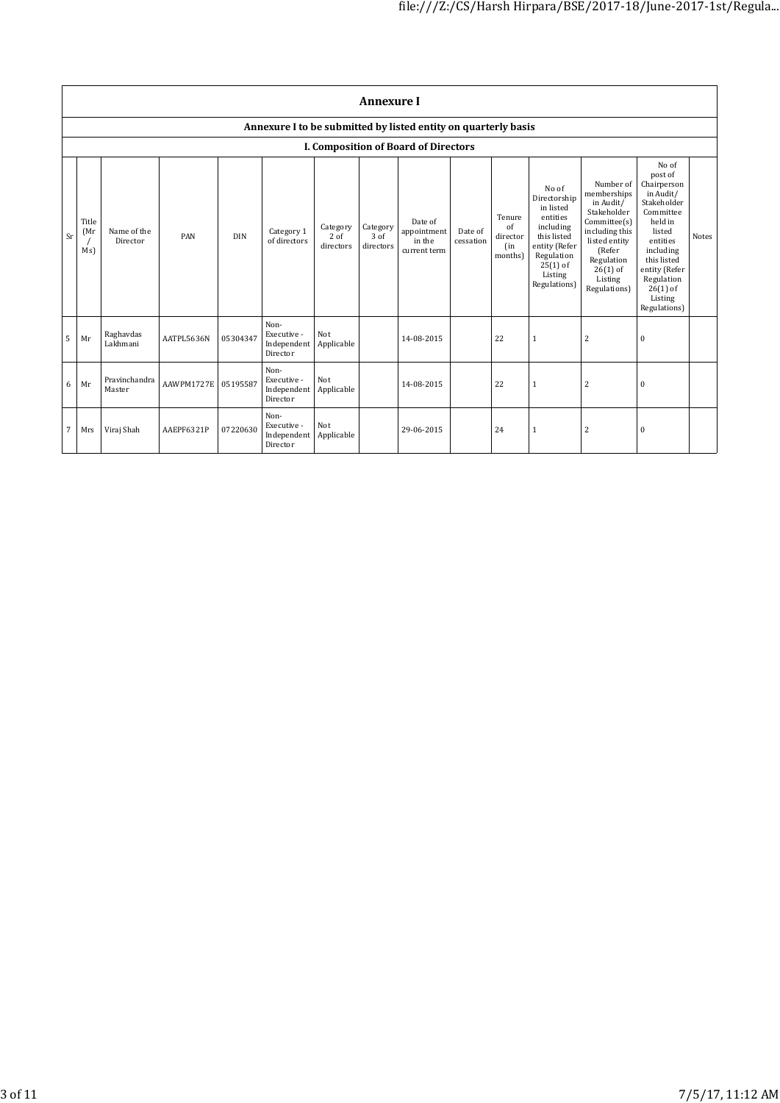|    | <b>Annexure I</b>                                              |                         |            |            |                                                |                                 |                               |                                                  |                      |                                            |                                                                                                                                                    |                                                                                                                                                                          |                                                                                                                                                                                                               |       |
|----|----------------------------------------------------------------|-------------------------|------------|------------|------------------------------------------------|---------------------------------|-------------------------------|--------------------------------------------------|----------------------|--------------------------------------------|----------------------------------------------------------------------------------------------------------------------------------------------------|--------------------------------------------------------------------------------------------------------------------------------------------------------------------------|---------------------------------------------------------------------------------------------------------------------------------------------------------------------------------------------------------------|-------|
|    | Annexure I to be submitted by listed entity on quarterly basis |                         |            |            |                                                |                                 |                               |                                                  |                      |                                            |                                                                                                                                                    |                                                                                                                                                                          |                                                                                                                                                                                                               |       |
|    |                                                                |                         |            |            |                                                |                                 |                               | <b>I. Composition of Board of Directors</b>      |                      |                                            |                                                                                                                                                    |                                                                                                                                                                          |                                                                                                                                                                                                               |       |
| Sr | Title<br>(Mr)<br>Ms)                                           | Name of the<br>Director | PAN        | <b>DIN</b> | Category 1<br>of directors                     | Category<br>$2$ of<br>directors | Category<br>3 of<br>directors | Date of<br>appointment<br>in the<br>current term | Date of<br>cessation | Tenure<br>of<br>director<br>(in<br>months) | No of<br>Directorship<br>in listed<br>entities<br>including<br>this listed<br>entity (Refer<br>Regulation<br>$25(1)$ of<br>Listing<br>Regulations) | Number of<br>memberships<br>in Audit/<br>Stakeholder<br>Committee(s)<br>including this<br>listed entity<br>(Refer<br>Regulation<br>$26(1)$ of<br>Listing<br>Regulations) | No of<br>post of<br>Chairperson<br>in Audit/<br>Stakeholder<br>Committee<br>held in<br>listed<br>entities<br>including<br>this listed<br>entity (Refer<br>Regulation<br>$26(1)$ of<br>Listing<br>Regulations) | Notes |
| 5  | Mr                                                             | Raghavdas<br>Lakhmani   | AATPL5636N | 05304347   | Non-<br>Executive -<br>Independent<br>Director | Not<br>Applicable               |                               | 14-08-2015                                       |                      | 22                                         | $\mathbf{1}$                                                                                                                                       | $\overline{c}$                                                                                                                                                           | $\mathbf{0}$                                                                                                                                                                                                  |       |
| 6  | Mr                                                             | Pravinchandra<br>Master | AAWPM1727E | 05195587   | Non-<br>Executive -<br>Independent<br>Director | Not<br>Applicable               |                               | 14-08-2015                                       |                      | 22                                         | $\mathbf{1}$                                                                                                                                       | 2                                                                                                                                                                        | $\mathbf{0}$                                                                                                                                                                                                  |       |
| 7  | Mrs                                                            | Viraj Shah              | AAEPF6321P | 07220630   | Non-<br>Executive -<br>Independent<br>Director | Not<br>Applicable               |                               | 29-06-2015                                       |                      | 24                                         | 1                                                                                                                                                  | 2                                                                                                                                                                        | $\bf{0}$                                                                                                                                                                                                      |       |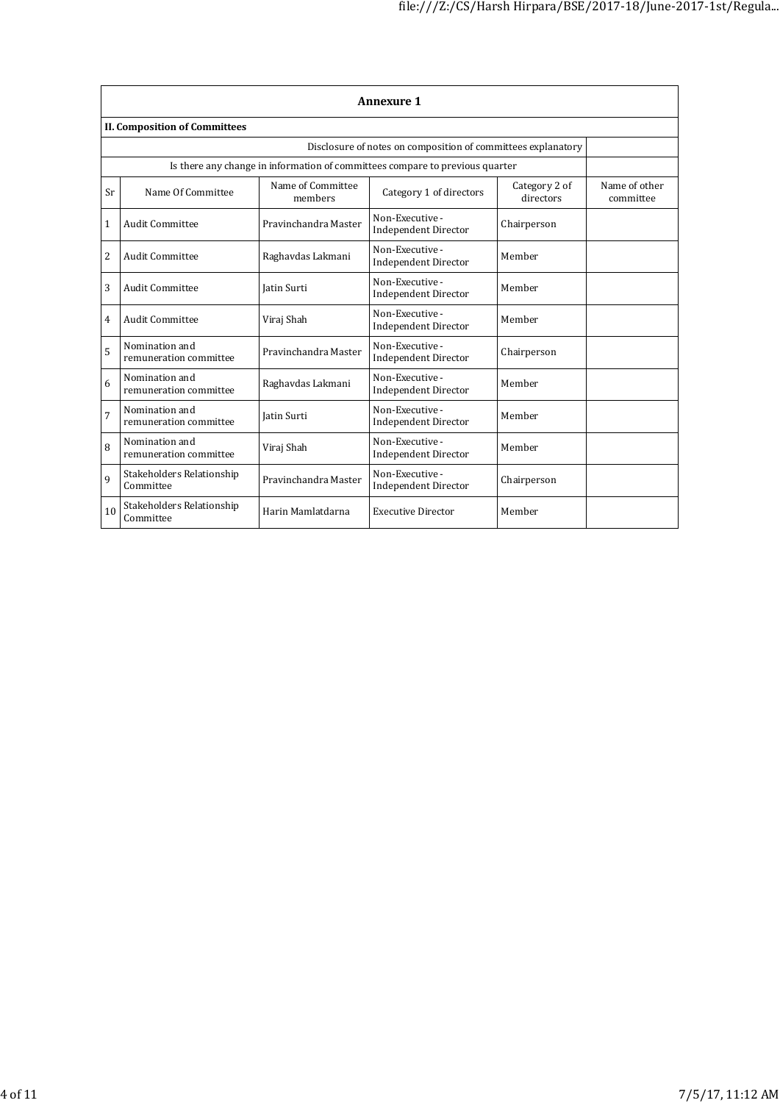|              | <b>Annexure 1</b>                        |                              |                                                                              |                            |                            |  |  |  |  |
|--------------|------------------------------------------|------------------------------|------------------------------------------------------------------------------|----------------------------|----------------------------|--|--|--|--|
|              | <b>II. Composition of Committees</b>     |                              |                                                                              |                            |                            |  |  |  |  |
|              |                                          |                              | Disclosure of notes on composition of committees explanatory                 |                            |                            |  |  |  |  |
|              |                                          |                              | Is there any change in information of committees compare to previous quarter |                            |                            |  |  |  |  |
| Sr           | Name Of Committee                        | Name of Committee<br>members | Category 1 of directors                                                      | Category 2 of<br>directors | Name of other<br>committee |  |  |  |  |
| $\mathbf{1}$ | Audit Committee                          | Pravinchandra Master         | Non-Executive -<br><b>Independent Director</b>                               | Chairperson                |                            |  |  |  |  |
| 2            | <b>Audit Committee</b>                   | Raghavdas Lakmani            | Non-Executive -<br><b>Independent Director</b>                               | Member                     |                            |  |  |  |  |
| 3            | <b>Audit Committee</b>                   | <b>Iatin Surti</b>           | Non-Executive -<br><b>Independent Director</b>                               | Member                     |                            |  |  |  |  |
| 4            | Audit Committee                          | Viraj Shah                   | Non-Executive -<br><b>Independent Director</b>                               | Member                     |                            |  |  |  |  |
| 5            | Nomination and<br>remuneration committee | Pravinchandra Master         | Non-Executive -<br><b>Independent Director</b>                               | Chairperson                |                            |  |  |  |  |
| 6            | Nomination and<br>remuneration committee | Raghavdas Lakmani            | Non-Executive -<br><b>Independent Director</b>                               | Member                     |                            |  |  |  |  |
| 7            | Nomination and<br>remuneration committee | <b>Iatin Surti</b>           | Non-Executive -<br><b>Independent Director</b>                               | Member                     |                            |  |  |  |  |
| 8            | Nomination and<br>remuneration committee | Viraj Shah                   | Non-Executive -<br>Independent Director                                      | Member                     |                            |  |  |  |  |
| 9            | Stakeholders Relationship<br>Committee   | Pravinchandra Master         | Non-Executive -<br><b>Independent Director</b>                               | Chairperson                |                            |  |  |  |  |
| 10           | Stakeholders Relationship<br>Committee   | Harin Mamlatdarna            | <b>Executive Director</b>                                                    | Member                     |                            |  |  |  |  |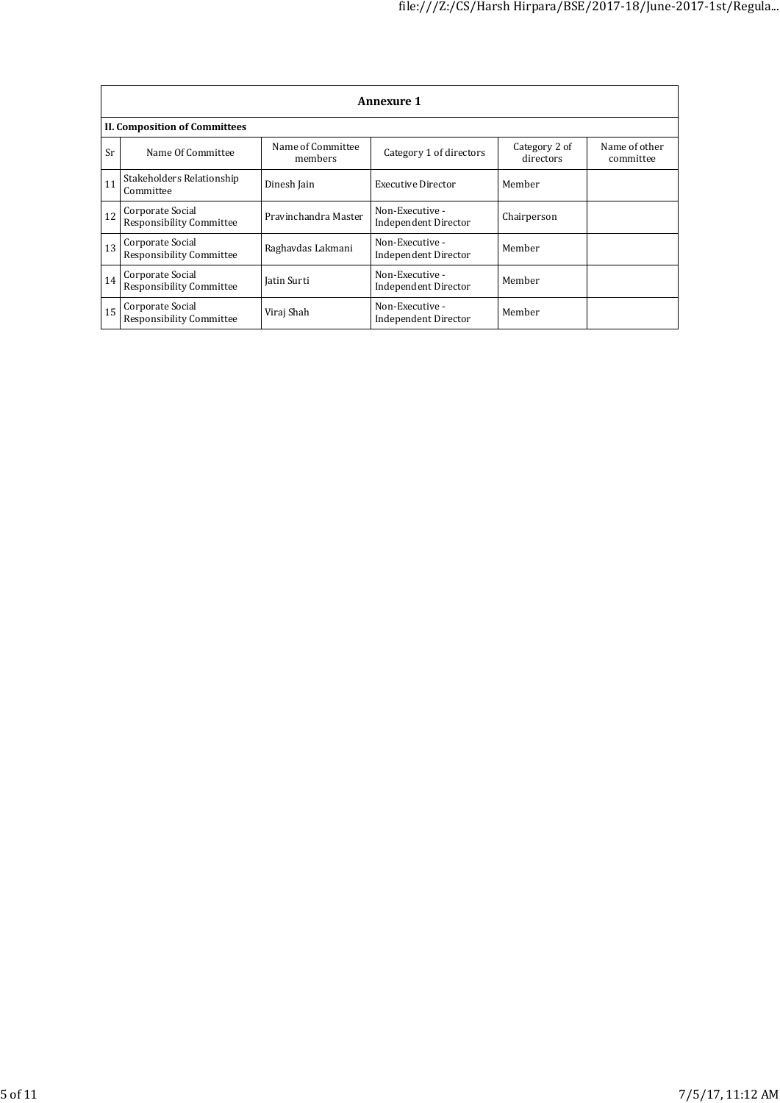|    | <b>Annexure 1</b>                            |                              |                                         |                            |                            |  |  |  |  |
|----|----------------------------------------------|------------------------------|-----------------------------------------|----------------------------|----------------------------|--|--|--|--|
|    | <b>II. Composition of Committees</b>         |                              |                                         |                            |                            |  |  |  |  |
| Sr | Name Of Committee                            | Name of Committee<br>members | Category 1 of directors                 | Category 2 of<br>directors | Name of other<br>committee |  |  |  |  |
| 11 | Stakeholders Relationship<br>Committee       | Dinesh Jain                  | <b>Executive Director</b>               | Member                     |                            |  |  |  |  |
| 12 | Corporate Social<br>Responsibility Committee | Pravinchandra Master         | Non-Executive -<br>Independent Director | Chairperson                |                            |  |  |  |  |
| 13 | Corporate Social<br>Responsibility Committee | Raghavdas Lakmani            | Non-Executive -<br>Independent Director | Member                     |                            |  |  |  |  |
| 14 | Corporate Social<br>Responsibility Committee | Jatin Surti                  | Non-Executive -<br>Independent Director | Member                     |                            |  |  |  |  |
| 15 | Corporate Social<br>Responsibility Committee | Viraj Shah                   | Non-Executive -<br>Independent Director | Member                     |                            |  |  |  |  |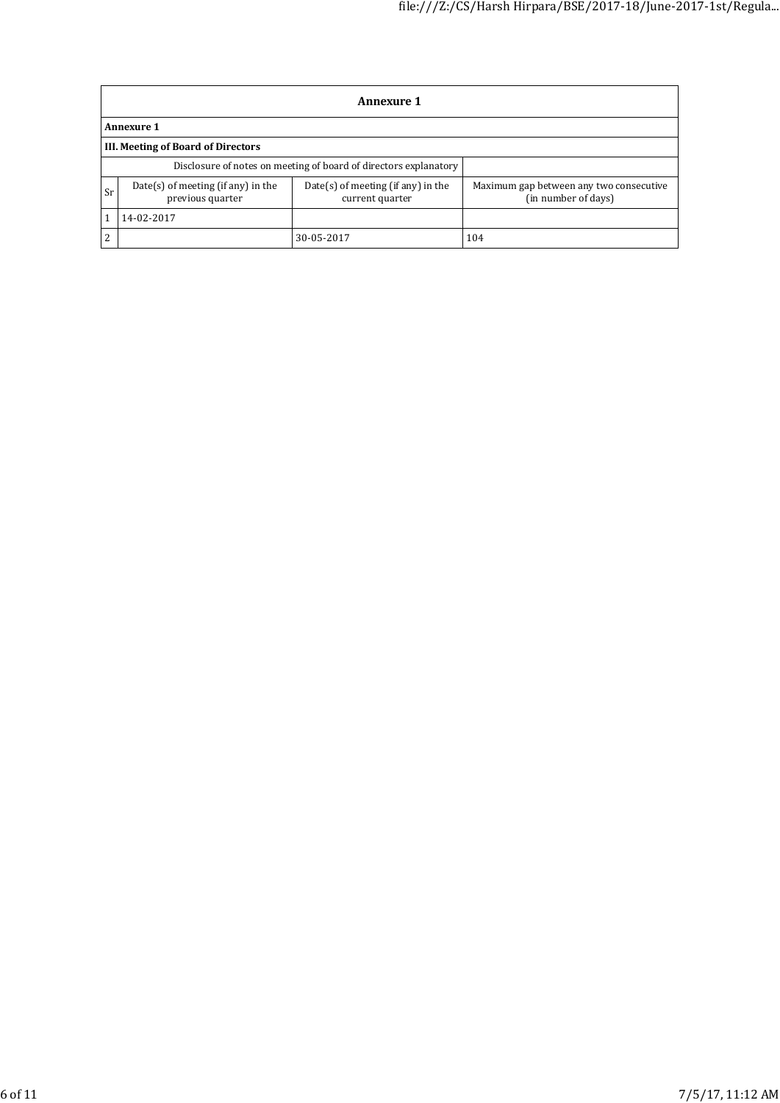|           | <b>Annexure 1</b>                                                |                                                       |                                                                |  |  |  |
|-----------|------------------------------------------------------------------|-------------------------------------------------------|----------------------------------------------------------------|--|--|--|
|           | <b>Annexure 1</b>                                                |                                                       |                                                                |  |  |  |
|           | III. Meeting of Board of Directors                               |                                                       |                                                                |  |  |  |
|           | Disclosure of notes on meeting of board of directors explanatory |                                                       |                                                                |  |  |  |
| <b>Sr</b> | Date(s) of meeting (if any) in the<br>previous quarter           | Date(s) of meeting (if any) in the<br>current quarter | Maximum gap between any two consecutive<br>(in number of days) |  |  |  |
|           | 14-02-2017                                                       |                                                       |                                                                |  |  |  |
| 2         |                                                                  | 30-05-2017                                            | 104                                                            |  |  |  |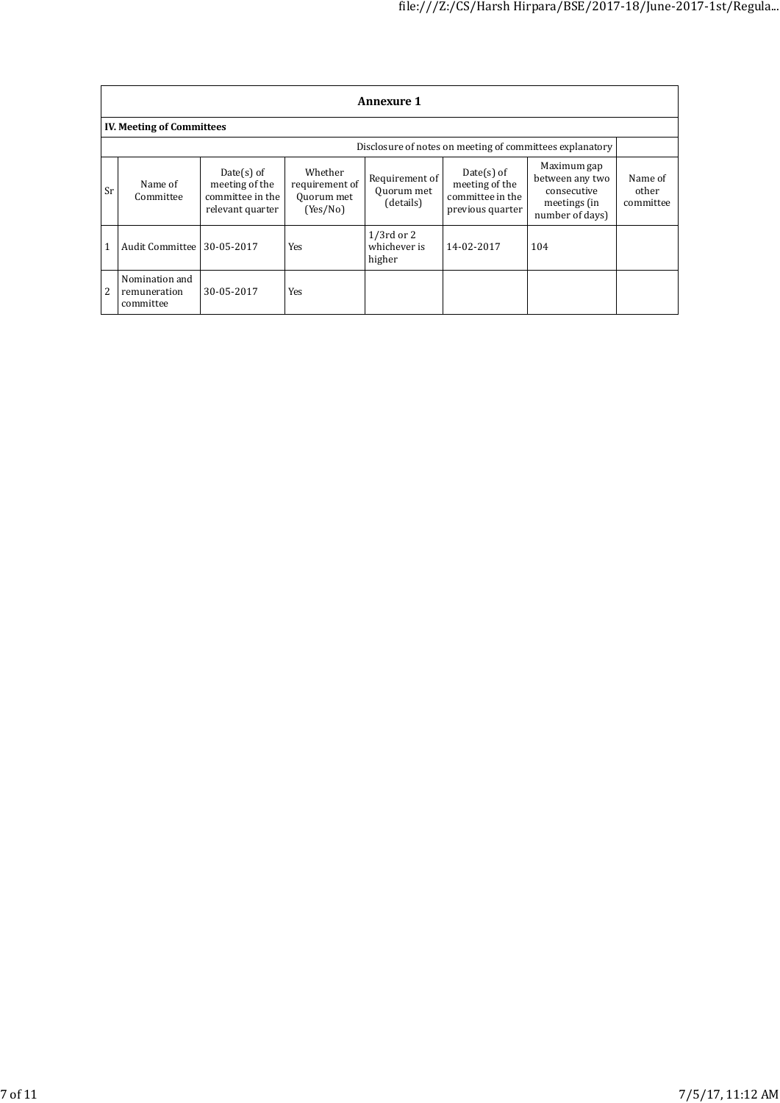|              | <b>Annexure 1</b>                                        |                                                                         |                                                     |                                           |                                                                        |                                                                                  |                               |  |  |
|--------------|----------------------------------------------------------|-------------------------------------------------------------------------|-----------------------------------------------------|-------------------------------------------|------------------------------------------------------------------------|----------------------------------------------------------------------------------|-------------------------------|--|--|
|              | <b>IV. Meeting of Committees</b>                         |                                                                         |                                                     |                                           |                                                                        |                                                                                  |                               |  |  |
|              | Disclosure of notes on meeting of committees explanatory |                                                                         |                                                     |                                           |                                                                        |                                                                                  |                               |  |  |
| <b>Sr</b>    | Name of<br>Committee                                     | Date $(s)$ of<br>meeting of the<br>committee in the<br>relevant quarter | Whether<br>requirement of<br>Quorum met<br>(Yes/No) | Requirement of<br>Quorum met<br>(details) | $Date(s)$ of<br>meeting of the<br>committee in the<br>previous quarter | Maximum gap<br>between any two<br>consecutive<br>meetings (in<br>number of days) | Name of<br>other<br>committee |  |  |
| $\mathbf{1}$ | Audit Committee                                          | 30-05-2017                                                              | Yes                                                 | $1/3$ rd or 2<br>whichever is<br>higher   | 14-02-2017                                                             | 104                                                                              |                               |  |  |
| 2            | Nomination and<br>remuneration<br>committee              | 30-05-2017                                                              | Yes                                                 |                                           |                                                                        |                                                                                  |                               |  |  |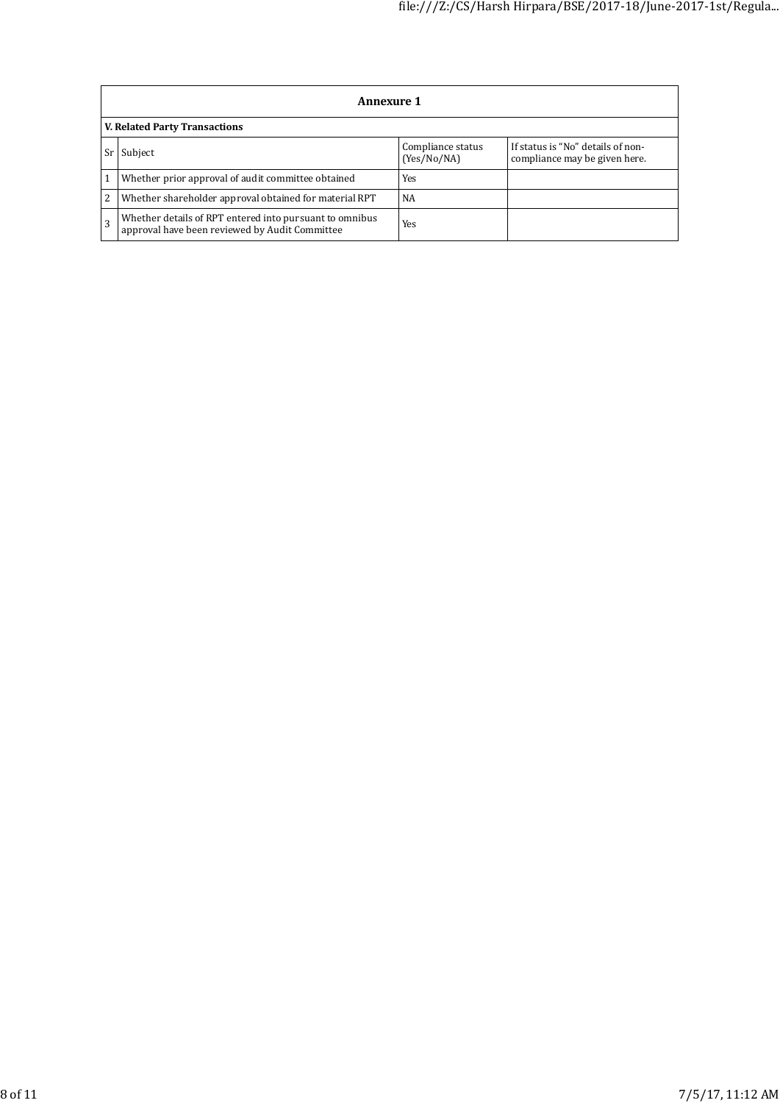|    | <b>Annexure 1</b>                                                                                         |                                  |                                                                    |  |  |  |
|----|-----------------------------------------------------------------------------------------------------------|----------------------------------|--------------------------------------------------------------------|--|--|--|
|    | <b>V. Related Party Transactions</b>                                                                      |                                  |                                                                    |  |  |  |
| Sr | Subject                                                                                                   | Compliance status<br>(Yes/No/NA) | If status is "No" details of non-<br>compliance may be given here. |  |  |  |
|    | Whether prior approval of audit committee obtained                                                        | Yes                              |                                                                    |  |  |  |
| 2  | Whether shareholder approval obtained for material RPT                                                    | NA                               |                                                                    |  |  |  |
|    | Whether details of RPT entered into pursuant to omnibus<br>approval have been reviewed by Audit Committee | Yes                              |                                                                    |  |  |  |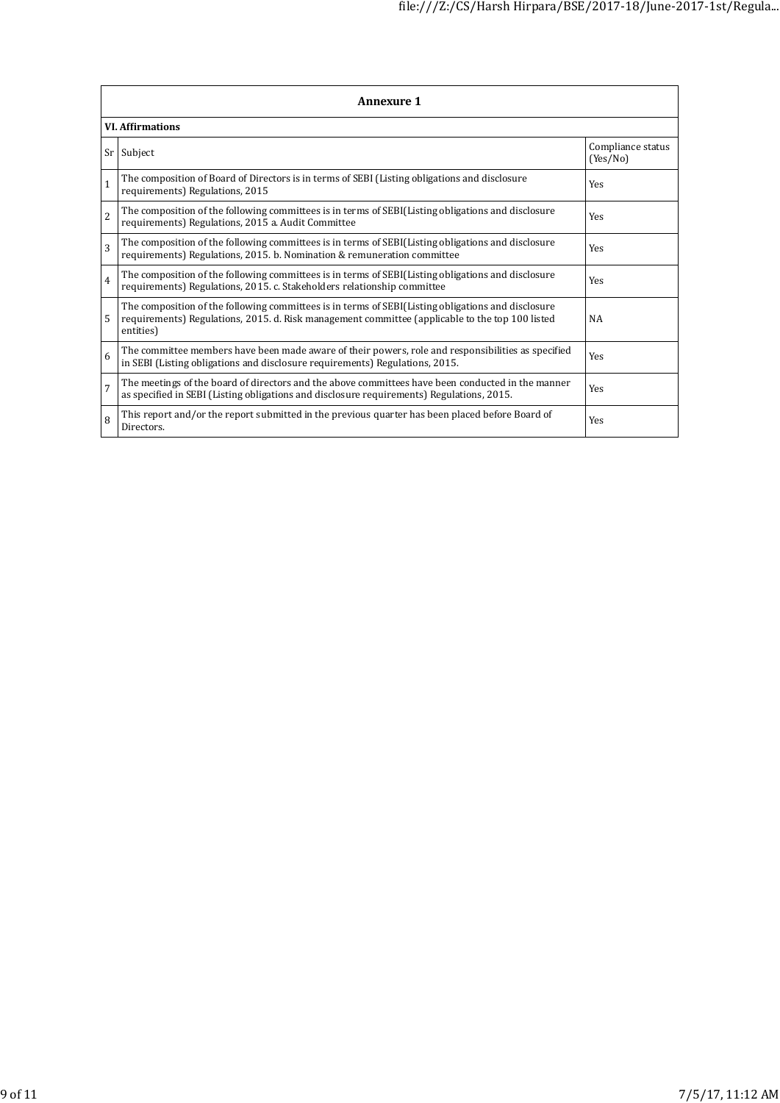|                | <b>Annexure 1</b>                                                                                                                                                                                                  |                               |  |  |  |
|----------------|--------------------------------------------------------------------------------------------------------------------------------------------------------------------------------------------------------------------|-------------------------------|--|--|--|
|                | <b>VI.</b> Affirmations                                                                                                                                                                                            |                               |  |  |  |
|                | Sr Subject                                                                                                                                                                                                         | Compliance status<br>(Yes/No) |  |  |  |
| $\mathbf{1}$   | The composition of Board of Directors is in terms of SEBI (Listing obligations and disclosure<br>requirements) Regulations, 2015                                                                                   | <b>Yes</b>                    |  |  |  |
| $\overline{2}$ | The composition of the following committees is in terms of SEBI(Listing obligations and disclosure<br>requirements) Regulations, 2015 a. Audit Committee                                                           | <b>Yes</b>                    |  |  |  |
| 3              | The composition of the following committees is in terms of SEBI(Listing obligations and disclosure<br>requirements) Regulations, 2015. b. Nomination & remuneration committee                                      | <b>Yes</b>                    |  |  |  |
| $\overline{4}$ | The composition of the following committees is in terms of SEBI(Listing obligations and disclosure<br>requirements) Regulations, 2015. c. Stakeholders relationship committee                                      | <b>Yes</b>                    |  |  |  |
| 5              | The composition of the following committees is in terms of SEBI(Listing obligations and disclosure<br>requirements) Regulations, 2015. d. Risk management committee (applicable to the top 100 listed<br>entities) | NA                            |  |  |  |
| 6              | The committee members have been made aware of their powers, role and responsibilities as specified<br>in SEBI (Listing obligations and disclosure requirements) Regulations, 2015.                                 | <b>Yes</b>                    |  |  |  |
| $\overline{7}$ | The meetings of the board of directors and the above committees have been conducted in the manner<br>as specified in SEBI (Listing obligations and disclosure requirements) Regulations, 2015.                     | Yes                           |  |  |  |
| 8              | This report and/or the report submitted in the previous quarter has been placed before Board of<br>Directors.                                                                                                      | Yes                           |  |  |  |